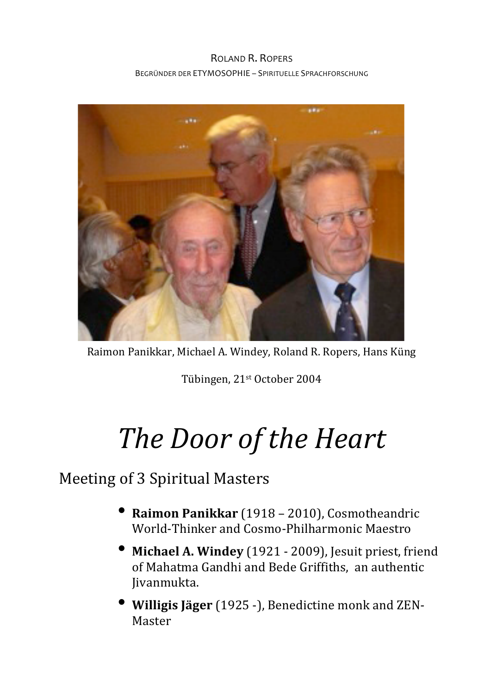## ROLAND R. ROPERS BEGRÜNDER DER ETYMOSOPHIE - SPIRITUELLE SPRACHFORSCHUNG



Raimon Panikkar, Michael A. Windey, Roland R. Ropers, Hans Küng

Tübingen, 21<sup>st</sup> October 2004

## *The Door of the Heart*

## Meeting of 3 Spiritual Masters

- **Raimon Panikkar** (1918 2010), Cosmotheandric World-Thinker and Cosmo-Philharmonic Maestro
- **Michael A. Windey** (1921 2009), Jesuit priest, friend of Mahatma Gandhi and Bede Griffiths, an authentic Jivanmukta.
- **Willigis Jäger** (1925 -), Benedictine monk and ZEN-Master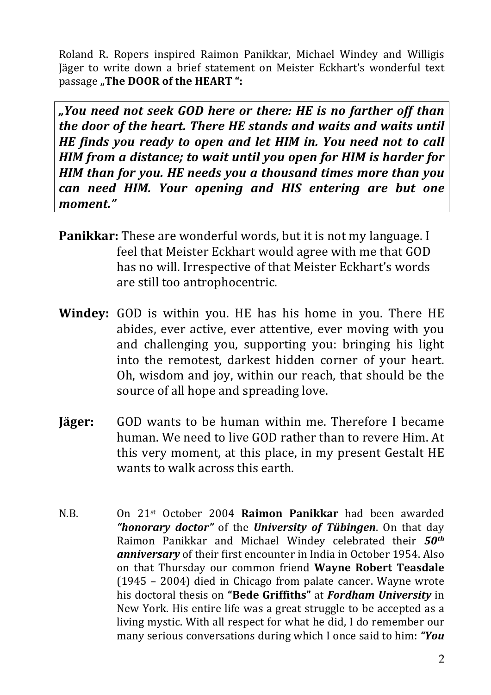Roland R. Ropers inspired Raimon Panikkar, Michael Windey and Willigis Jäger to write down a brief statement on Meister Eckhart's wonderful text passage "The DOOR of the HEART":

*"You need not seek GOD here or there: HE is no farther off than the door of the heart. There HE stands and waits and waits until HE* finds you ready to open and let HIM in. You need not to call *HIM* from a distance; to wait until you open for HIM is harder for *HIM than for you. HE needs you a thousand times more than you can need HIM. Your opening and HIS entering are but one moment."*

- **Panikkar:** These are wonderful words, but it is not my language. I feel that Meister Eckhart would agree with me that GOD has no will. Irrespective of that Meister Eckhart's words are still too antrophocentric.
- **Windey:** GOD is within you. HE has his home in you. There HE abides, ever active, ever attentive, ever moving with you and challenging you, supporting you: bringing his light into the remotest, darkest hidden corner of your heart. Oh, wisdom and joy, within our reach, that should be the source of all hope and spreading love.
- **Jäger:** GOD wants to be human within me. Therefore I became human. We need to live GOD rather than to revere Him. At this very moment, at this place, in my present Gestalt HE wants to walk across this earth.
- N.B. On 21<sup>st</sup> October 2004 **Raimon Panikkar** had been awarded "honorary doctor" of the University of Tübingen. On that day Raimon Panikkar and Michael Windey celebrated their *50th* **anniversary** of their first encounter in India in October 1954. Also on that Thursday our common friend **Wayne Robert Teasdale**  $(1945 - 2004)$  died in Chicago from palate cancer. Wayne wrote his doctoral thesis on "**Bede Griffiths**" at **Fordham University** in New York. His entire life was a great struggle to be accepted as a living mystic. With all respect for what he did, I do remember our many serious conversations during which I once said to him: "You